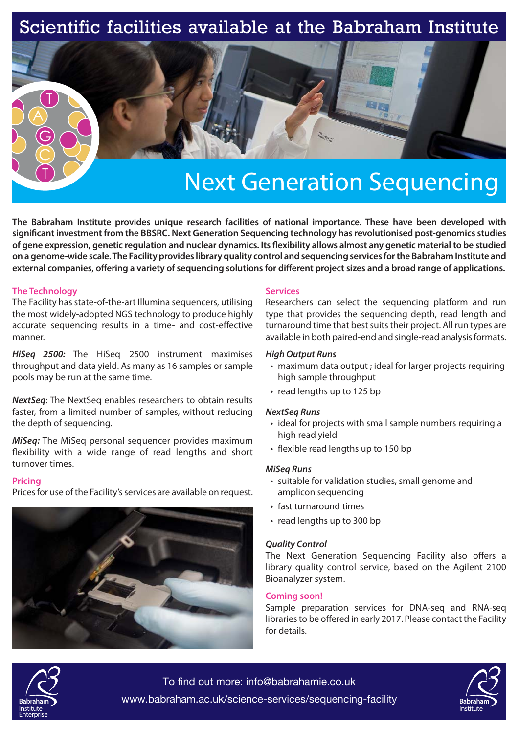## Scientific facilities available at the Babraham Institute



# Next Generation Sequencing

**The Babraham Institute provides unique research facilities of national importance. These have been developed with**  significant investment from the BBSRC. Next Generation Sequencing technology has revolutionised post-genomics studies of gene expression, genetic regulation and nuclear dynamics. Its flexibility allows almost any genetic material to be studied **on a genome-wide scale. The Facility provides library quality control and sequencing services for the Babraham Institute and**  external companies, offering a variety of sequencing solutions for different project sizes and a broad range of applications.

### **The Technology**

The Facility has state-of-the-art Illumina sequencers, utilising the most widely-adopted NGS technology to produce highly accurate sequencing results in a time- and cost-effective manner.

*HiSeq 2500:* The HiSeq 2500 instrument maximises throughput and data yield. As many as 16 samples or sample pools may be run at the same time.

*NextSeq*: The NextSeq enables researchers to obtain results faster, from a limited number of samples, without reducing the depth of sequencing.

*MiSeq:* The MiSeq personal sequencer provides maximum flexibility with a wide range of read lengths and short turnover times.

### **Pricing**

Prices for use of the Facility's services are available on request.



### **Services**

Researchers can select the sequencing platform and run type that provides the sequencing depth, read length and turnaround time that best suits their project. All run types are available in both paired-end and single-read analysis formats.

- maximum data output ; ideal for larger projects requiring high sample throughput
- read lengths up to 125 bp

- ideal for projects with small sample numbers requiring a high read yield
- flexible read lengths up to 150 bp

- suitable for validation studies, small genome and amplicon sequencing
- fast turnaround times
- read lengths up to 300 bp

**The Next Generation Sequencing Facility also offers a** library quality control service, based on the Agilent 2100 Bioanalyzer system.

### **Coming soon!**

Sample preparation services for DNA-seq and RNA-seq libraries to be offered in early 2017. Please contact the Facility for details.



To find out more: info@babrahamie.co.uk www.babraham.ac.uk/science-services/sequencing-facility **Babraham**